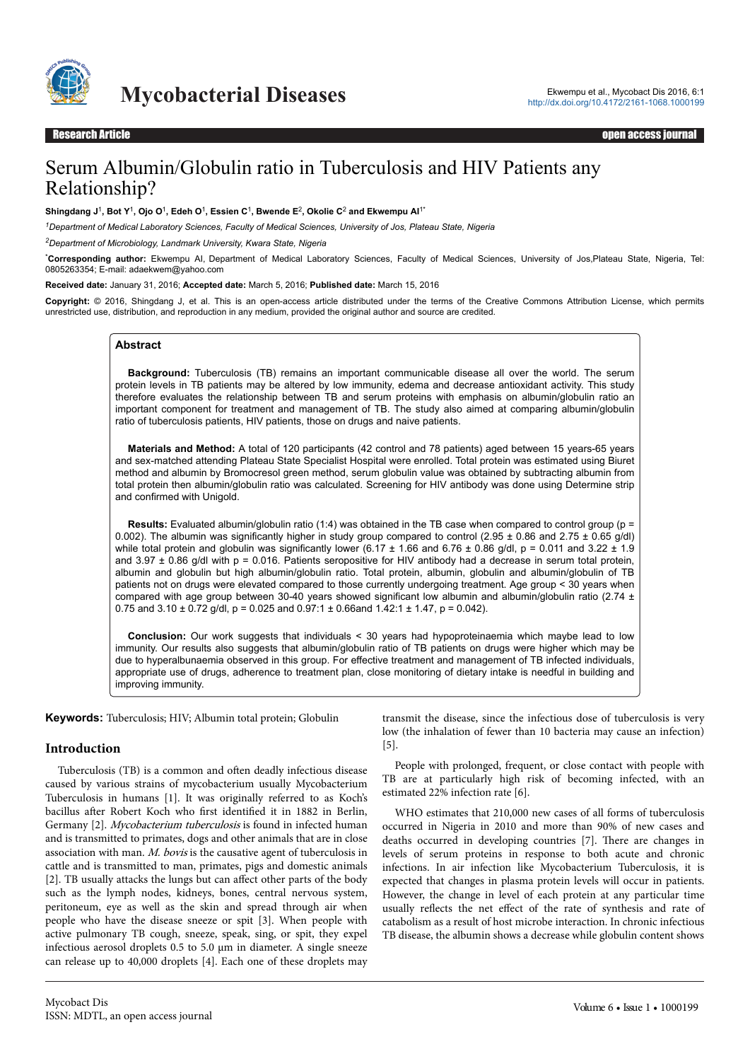

**Mycobacterial Diseases** Ekwempu et al., Mycobact Dis 2016, 6:1

# Serum Albumin/Globulin ratio in Tuberculosis and HIV Patients any Relationship?

**Shingdang J**<sup>1</sup> **, Bot Y**<sup>1</sup> **, Ojo O**<sup>1</sup> **, Edeh O**<sup>1</sup> **, Essien C**<sup>1</sup> **, Bwende E**<sup>2</sup> **, Okolie C**<sup>2</sup>  **and Ekwempu AI**1\*

*<sup>1</sup>Department of Medical Laboratory Sciences, Faculty of Medical Sciences, University of Jos, Plateau State, Nigeria*

*<sup>2</sup>Department of Microbiology, Landmark University, Kwara State, Nigeria*

\***Corresponding author:** Ekwempu AI, Department of Medical Laboratory Sciences, Faculty of Medical Sciences, University of Jos,Plateau State, Nigeria, Tel: 0805263354; E-mail: adaekwem@yahoo.com

**Received date:** January 31, 2016; **Accepted date:** March 5, 2016; **Published date:** March 15, 2016

**Copyright:** © 2016, Shingdang J, et al. This is an open-access article distributed under the terms of the Creative Commons Attribution License, which permits unrestricted use, distribution, and reproduction in any medium, provided the original author and source are credited.

## **Abstract**

**Background:** Tuberculosis (TB) remains an important communicable disease all over the world. The serum protein levels in TB patients may be altered by low immunity, edema and decrease antioxidant activity. This study therefore evaluates the relationship between TB and serum proteins with emphasis on albumin/globulin ratio an important component for treatment and management of TB. The study also aimed at comparing albumin/globulin ratio of tuberculosis patients, HIV patients, those on drugs and naive patients.

**Materials and Method:** A total of 120 participants (42 control and 78 patients) aged between 15 years-65 years and sex-matched attending Plateau State Specialist Hospital were enrolled. Total protein was estimated using Biuret method and albumin by Bromocresol green method, serum globulin value was obtained by subtracting albumin from total protein then albumin/globulin ratio was calculated. Screening for HIV antibody was done using Determine strip and confirmed with Unigold.

**Results:** Evaluated albumin/globulin ratio (1:4) was obtained in the TB case when compared to control group (p = 0.002). The albumin was significantly higher in study group compared to control (2.95 ± 0.86 and 2.75 ± 0.65 g/dl) while total protein and globulin was significantly lower (6.17  $\pm$  1.66 and 6.76  $\pm$  0.86 g/dl, p = 0.011 and 3.22  $\pm$  1.9 and  $3.97 \pm 0.86$  g/dl with p = 0.016. Patients seropositive for HIV antibody had a decrease in serum total protein, albumin and globulin but high albumin/globulin ratio. Total protein, albumin, globulin and albumin/globulin of TB patients not on drugs were elevated compared to those currently undergoing treatment. Age group < 30 years when compared with age group between 30-40 years showed significant low albumin and albumin/globulin ratio (2.74  $\pm$ 0.75 and  $3.10 \pm 0.72$  g/dl, p = 0.025 and 0.97:1  $\pm$  0.66and 1.42:1  $\pm$  1.47, p = 0.042).

**Conclusion:** Our work suggests that individuals < 30 years had hypoproteinaemia which maybe lead to low immunity. Our results also suggests that albumin/globulin ratio of TB patients on drugs were higher which may be due to hyperalbunaemia observed in this group. For effective treatment and management of TB infected individuals, appropriate use of drugs, adherence to treatment plan, close monitoring of dietary intake is needful in building and improving immunity.

**Keywords:** Tuberculosis; HIV; Albumin total protein; Globulin

## **Introduction**

Tuberculosis (TB) is a common and often deadly infectious disease caused by various strains of mycobacterium usually Mycobacterium Tuberculosis in humans [1]. It was originally referred to as Koch's bacillus after Robert Koch who first identified it in 1882 in Berlin, Germany [2]. Mycobacterium tuberculosis is found in infected human and is transmitted to primates, dogs and other animals that are in close association with man. M. bovis is the causative agent of tuberculosis in cattle and is transmitted to man, primates, pigs and domestic animals [2]. TB usually attacks the lungs but can affect other parts of the body such as the lymph nodes, kidneys, bones, central nervous system, peritoneum, eye as well as the skin and spread through air when people who have the disease sneeze or spit [3]. When people with active pulmonary TB cough, sneeze, speak, sing, or spit, they expel infectious aerosol droplets 0.5 to 5.0 µm in diameter. A single sneeze can release up to 40,000 droplets [4]. Each one of these droplets may

transmit the disease, since the infectious dose of tuberculosis is very low (the inhalation of fewer than 10 bacteria may cause an infection) [5].

People with prolonged, frequent, or close contact with people with TB are at particularly high risk of becoming infected, with an estimated 22% infection rate [6].

WHO estimates that 210,000 new cases of all forms of tuberculosis occurred in Nigeria in 2010 and more than 90% of new cases and deaths occurred in developing countries [7]. Нere are changes in levels of serum proteins in response to both acute and chronic infections. In air infection like Mycobacterium Tuberculosis, it is expected that changes in plasma protein levels will occur in patients. However, the change in level of each protein at any particular time usually reflects the net effect of the rate of synthesis and rate of catabolism as a result of host microbe interaction. In chronic infectious TB disease, the albumin shows a decrease while globulin content shows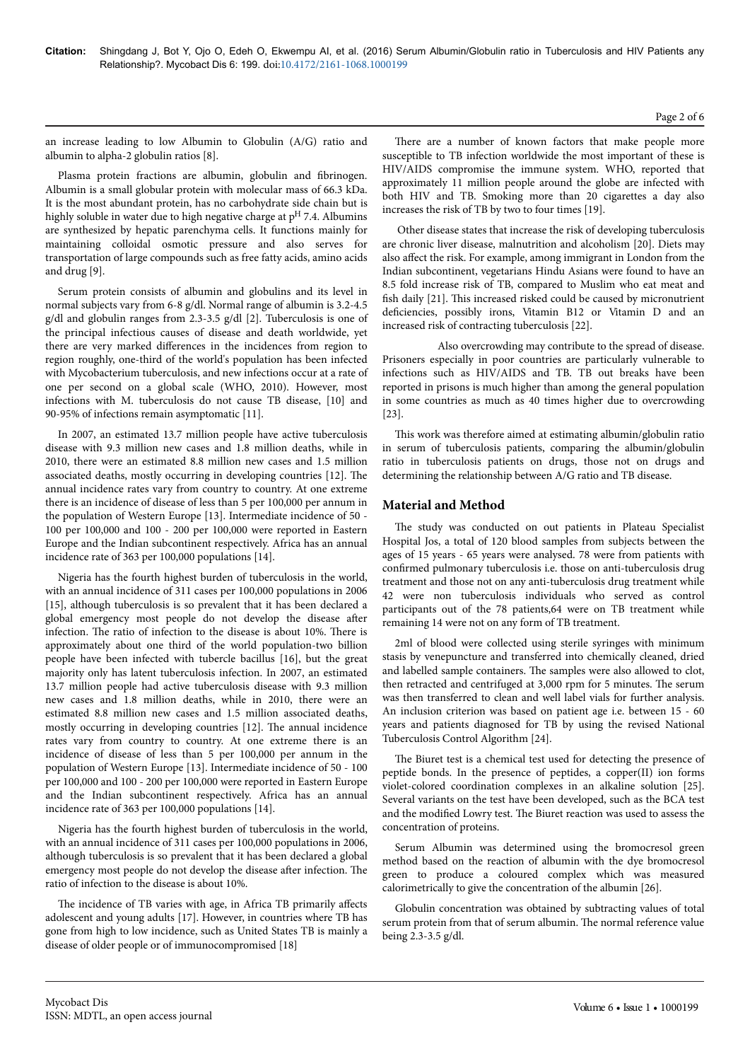#### Page 2 of 6

an increase leading to low Albumin to Globulin (A/G) ratio and albumin to alpha-2 globulin ratios [8].

Plasma protein fractions are albumin, globulin and fibrinogen Albumin is a small globular protein with molecular mass of 66.3 kDa. It is the most abundant protein, has no carbohydrate side chain but is highly soluble in water due to high negative charge at  $p<sup>H</sup>$  7.4. Albumins are synthesized by hepatic parenchyma cells. It functions mainly for maintaining colloidal osmotic pressure and also serves for transportation of large compounds such as free fatty acids, amino acids and drug [9].

Serum protein consists of albumin and globulins and its level in normal subjects vary from 6-8 g/dl. Normal range of albumin is 3.2-4.5 g/dl and globulin ranges from 2.3-3.5 g/dl [2]. Tuberculosis is one of the principal infectious causes of disease and death worldwide, yet there are very marked differences in the incidences from region to region roughly, one-third of the world's population has been infected with Mycobacterium tuberculosis, and new infections occur at a rate of one per second on a global scale (WHO, 2010). However, most infections with M. tuberculosis do not cause TB disease, [10] and 90-95% of infections remain asymptomatic [11].

In 2007, an estimated 13.7 million people have active tuberculosis disease with 9.3 million new cases and 1.8 million deaths, while in 2010, there were an estimated 8.8 million new cases and 1.5 million associated deaths, mostly occurring in developing countries [12]. Нe annual incidence rates vary from country to country. At one extreme there is an incidence of disease of less than 5 per 100,000 per annum in the population of Western Europe [13]. Intermediate incidence of 50 - 100 per 100,000 and 100 - 200 per 100,000 were reported in Eastern Europe and the Indian subcontinent respectively. Africa has an annual incidence rate of 363 per 100,000 populations [14].

Nigeria has the fourth highest burden of tuberculosis in the world, with an annual incidence of 311 cases per 100,000 populations in 2006 [15], although tuberculosis is so prevalent that it has been declared a global emergency most people do not develop the disease after infection. Нe ratio of infection to the disease is about 10%. Нere is approximately about one third of the world population-two billion people have been infected with tubercle bacillus [16], but the great majority only has latent tuberculosis infection. In 2007, an estimated 13.7 million people had active tuberculosis disease with 9.3 million new cases and 1.8 million deaths, while in 2010, there were an estimated 8.8 million new cases and 1.5 million associated deaths, mostly occurring in developing countries [12]. Нe annual incidence rates vary from country to country. At one extreme there is an incidence of disease of less than 5 per 100,000 per annum in the population of Western Europe [13]. Intermediate incidence of 50 - 100 per 100,000 and 100 - 200 per 100,000 were reported in Eastern Europe and the Indian subcontinent respectively. Africa has an annual incidence rate of 363 per 100,000 populations [14].

Nigeria has the fourth highest burden of tuberculosis in the world, with an annual incidence of 311 cases per 100,000 populations in 2006, although tuberculosis is so prevalent that it has been declared a global emergency most people do not develop the disease after infection. The ratio of infection to the disease is about 10%.

The incidence of TB varies with age, in Africa TB primarily affects adolescent and young adults [17]. However, in countries where TB has gone from high to low incidence, such as United States TB is mainly a disease of older people or of immunocompromised [18]

There are a number of known factors that make people more susceptible to TB infection worldwide the most important of these is HIV/AIDS compromise the immune system. WHO, reported that approximately 11 million people around the globe are infected with both HIV and TB. Smoking more than 20 cigarettes a day also increases the risk of TB by two to four times [19].

Other disease states that increase the risk of developing tuberculosis are chronic liver disease, malnutrition and alcoholism [20]. Diets may also affect the risk. For example, among immigrant in London from the Indian subcontinent, vegetarians Hindu Asians were found to have an 8.5 fold increase risk of TB, compared to Muslim who eat meat and fish daily [21]. Нis increased risked could be caused by micronutrient deficiencies, possibly irons, Vitamin B12 or Vitamin D and an increased risk of contracting tuberculosis [22].

Also overcrowding may contribute to the spread of disease. Prisoners especially in poor countries are particularly vulnerable to infections such as HIV/AIDS and TB. TB out breaks have been reported in prisons is much higher than among the general population in some countries as much as 40 times higher due to overcrowding [23].

This work was therefore aimed at estimating albumin/globulin ratio in serum of tuberculosis patients, comparing the albumin/globulin ratio in tuberculosis patients on drugs, those not on drugs and determining the relationship between A/G ratio and TB disease.

## **Material and Method**

The study was conducted on out patients in Plateau Specialist Hospital Jos, a total of 120 blood samples from subjects between the ages of 15 years - 65 years were analysed. 78 were from patients with confirmed pulmonary tuberculosis i.e. those on anti-tuberculosis drug treatment and those not on any anti-tuberculosis drug treatment while 42 were non tuberculosis individuals who served as control participants out of the 78 patients,64 were on TB treatment while remaining 14 were not on any form of TB treatment.

2ml of blood were collected using sterile syringes with minimum stasis by venepuncture and transferred into chemically cleaned, dried and labelled sample containers. Нe samples were also allowed to clot, then retracted and centrifuged at 3,000 rpm for 5 minutes. Нe serum was then transferred to clean and well label vials for further analysis. An inclusion criterion was based on patient age i.e. between 15 - 60 years and patients diagnosed for TB by using the revised National Tuberculosis Control Algorithm [24].

The Biuret test is a chemical test used for detecting the presence of peptide bonds. In the presence of peptides, a copper(II) ion forms violet-colored coordination complexes in an alkaline solution [25]. Several variants on the test have been developed, such as the BCA test and the modified Lowry test. Нe Biuret reaction was used to assess the concentration of proteins.

Serum Albumin was determined using the bromocresol green method based on the reaction of albumin with the dye bromocresol green to produce a coloured complex which was measured calorimetrically to give the concentration of the albumin [26].

Globulin concentration was obtained by subtracting values of total serum protein from that of serum albumin. Нe normal reference value being 2.3-3.5 g/dl.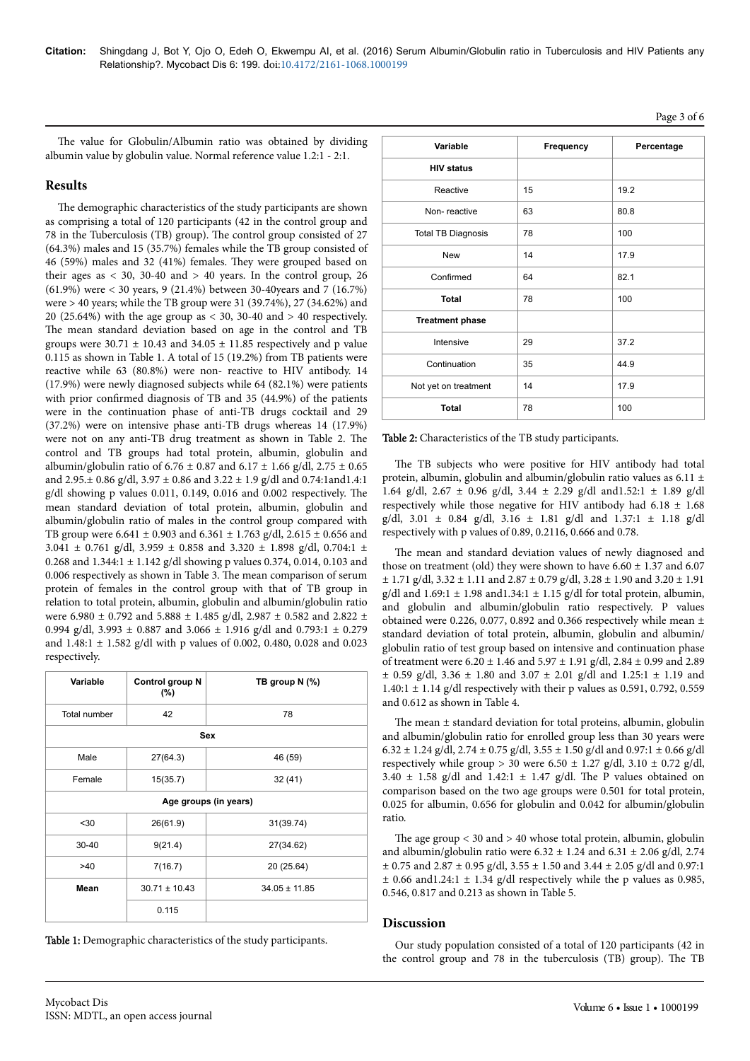Page 3 of 6

The value for Globulin/Albumin ratio was obtained by dividing albumin value by globulin value. Normal reference value 1.2:1 - 2:1.

# **Results**

The demographic characteristics of the study participants are shown as comprising a total of 120 participants (42 in the control group and 78 in the Tuberculosis (TB) group). Нe control group consisted of 27 (64.3%) males and 15 (35.7%) females while the TB group consisted of 46 (59%) males and 32 (41%) females. Нey were grouped based on their ages as  $\langle 30, 30-40 \rangle$  and  $\langle 40 \rangle$  years. In the control group, 26 (61.9%) were < 30 years, 9 (21.4%) between 30-40years and 7 (16.7%) were > 40 years; while the TB group were 31 (39.74%), 27 (34.62%) and 20 (25.64%) with the age group as  $<$  30, 30-40 and  $>$  40 respectively. The mean standard deviation based on age in the control and TB groups were 30.71  $\pm$  10.43 and 34.05  $\pm$  11.85 respectively and p value 0.115 as shown in Table 1. A total of 15 (19.2%) from TB patients were reactive while 63 (80.8%) were non- reactive to HIV antibody. 14 (17.9%) were newly diagnosed subjects while 64 (82.1%) were patients with prior confirmed diagnosis of TB and 35 (44.9%) of the patients were in the continuation phase of anti-TB drugs cocktail and 29 (37.2%) were on intensive phase anti-TB drugs whereas 14 (17.9%) were not on any anti-TB drug treatment as shown in Table 2. Нe control and TB groups had total protein, albumin, globulin and albumin/globulin ratio of  $6.76 \pm 0.87$  and  $6.17 \pm 1.66$  g/dl,  $2.75 \pm 0.65$ and 2.95.± 0.86 g/dl, 3.97 ± 0.86 and 3.22 ± 1.9 g/dl and 0.74:1and1.4:1 g/dl showing p values 0.011, 0.149, 0.016 and 0.002 respectively. Нe mean standard deviation of total protein, albumin, globulin and albumin/globulin ratio of males in the control group compared with TB group were  $6.641 \pm 0.903$  and  $6.361 \pm 1.763$  g/dl,  $2.615 \pm 0.656$  and 3.041  $\pm$  0.761 g/dl, 3.959  $\pm$  0.858 and 3.320  $\pm$  1.898 g/dl, 0.704:1  $\pm$ 0.268 and  $1.344:1 \pm 1.142$  g/dl showing p values 0.374, 0.014, 0.103 and 0.006 respectively as shown in Table 3. Нe mean comparison of serum protein of females in the control group with that of TB group in relation to total protein, albumin, globulin and albumin/globulin ratio were 6.980  $\pm$  0.792 and 5.888  $\pm$  1.485 g/dl, 2.987  $\pm$  0.582 and 2.822  $\pm$ 0.994 g/dl, 3.993  $\pm$  0.887 and 3.066  $\pm$  1.916 g/dl and 0.793:1  $\pm$  0.279 and  $1.48:1 \pm 1.582$  g/dl with p values of 0.002, 0.480, 0.028 and 0.023 respectively.

| Variable              | Control group N<br>$(\%)$ | TB group N (%)    |  |
|-----------------------|---------------------------|-------------------|--|
| <b>Total number</b>   | 42                        | 78                |  |
| <b>Sex</b>            |                           |                   |  |
| Male                  | 27(64.3)                  | 46 (59)           |  |
| Female                | 15(35.7)                  | 32 (41)           |  |
| Age groups (in years) |                           |                   |  |
| $30$                  | 26(61.9)                  | 31(39.74)         |  |
| $30 - 40$             | 9(21.4)                   | 27(34.62)         |  |
| >40                   | 7(16.7)                   | 20 (25.64)        |  |
| Mean                  | $30.71 \pm 10.43$         | $34.05 \pm 11.85$ |  |
|                       | 0.115                     |                   |  |

Table 1: Demographic characteristics of the study participants.

| Variable                  | Frequency | Percentage |
|---------------------------|-----------|------------|
| <b>HIV status</b>         |           |            |
| Reactive                  | 15        | 19.2       |
| Non-reactive              | 63        | 80.8       |
| <b>Total TB Diagnosis</b> | 78        | 100        |
| <b>New</b>                | 14        | 17.9       |
| Confirmed                 | 64        | 82.1       |
| <b>Total</b>              | 78        | 100        |
| <b>Treatment phase</b>    |           |            |
| Intensive                 | 29        | 37.2       |
| Continuation              | 35        | 44.9       |
| Not yet on treatment      | 14        | 17.9       |
| <b>Total</b>              | 78        | 100        |

#### Table 2: Characteristics of the TB study participants.

The TB subjects who were positive for HIV antibody had total protein, albumin, globulin and albumin/globulin ratio values as 6.11 ± 1.64 g/dl,  $2.67 \pm 0.96$  g/dl,  $3.44 \pm 2.29$  g/dl and  $1.52:1 \pm 1.89$  g/dl respectively while those negative for HIV antibody had  $6.18 \pm 1.68$ g/dl, 3.01 ± 0.84 g/dl, 3.16 ± 1.81 g/dl and 1.37:1 ± 1.18 g/dl respectively with p values of 0.89, 0.2116, 0.666 and 0.78.

The mean and standard deviation values of newly diagnosed and those on treatment (old) they were shown to have  $6.60 \pm 1.37$  and  $6.07$  $\pm$  1.71 g/dl, 3.32  $\pm$  1.11 and 2.87  $\pm$  0.79 g/dl, 3.28  $\pm$  1.90 and 3.20  $\pm$  1.91 g/dl and  $1.69:1 \pm 1.98$  and  $1.34:1 \pm 1.15$  g/dl for total protein, albumin, and globulin and albumin/globulin ratio respectively. P values obtained were 0.226, 0.077, 0.892 and 0.366 respectively while mean  $\pm$ standard deviation of total protein, albumin, globulin and albumin/ globulin ratio of test group based on intensive and continuation phase of treatment were  $6.20 \pm 1.46$  and  $5.97 \pm 1.91$  g/dl,  $2.84 \pm 0.99$  and  $2.89$  $\pm$  0.59 g/dl, 3.36  $\pm$  1.80 and 3.07  $\pm$  2.01 g/dl and 1.25:1  $\pm$  1.19 and  $1.40:1 \pm 1.14$  g/dl respectively with their p values as 0.591, 0.792, 0.559 and 0.612 as shown in Table 4.

The mean  $\pm$  standard deviation for total proteins, albumin, globulin and albumin/globulin ratio for enrolled group less than 30 years were 6.32 ± 1.24 g/dl, 2.74 ± 0.75 g/dl, 3.55 ± 1.50 g/dl and 0.97:1 ± 0.66 g/dl respectively while group > 30 were  $6.50 \pm 1.27$  g/dl,  $3.10 \pm 0.72$  g/dl,  $3.40 \pm 1.58$  g/dl and  $1.42:1 \pm 1.47$  g/dl. The P values obtained on comparison based on the two age groups were 0.501 for total protein, 0.025 for albumin, 0.656 for globulin and 0.042 for albumin/globulin ratio.

The age group  $<$  30 and  $>$  40 whose total protein, albumin, globulin and albumin/globulin ratio were  $6.32 \pm 1.24$  and  $6.31 \pm 2.06$  g/dl, 2.74  $\pm$  0.75 and 2.87  $\pm$  0.95 g/dl, 3.55  $\pm$  1.50 and 3.44  $\pm$  2.05 g/dl and 0.97:1  $\pm$  0.66 and 1.24:1  $\pm$  1.34 g/dl respectively while the p values as 0.985, 0.546, 0.817 and 0.213 as shown in Table 5.

# **Discussion**

Our study population consisted of a total of 120 participants (42 in the control group and 78 in the tuberculosis (TB) group). Нe TB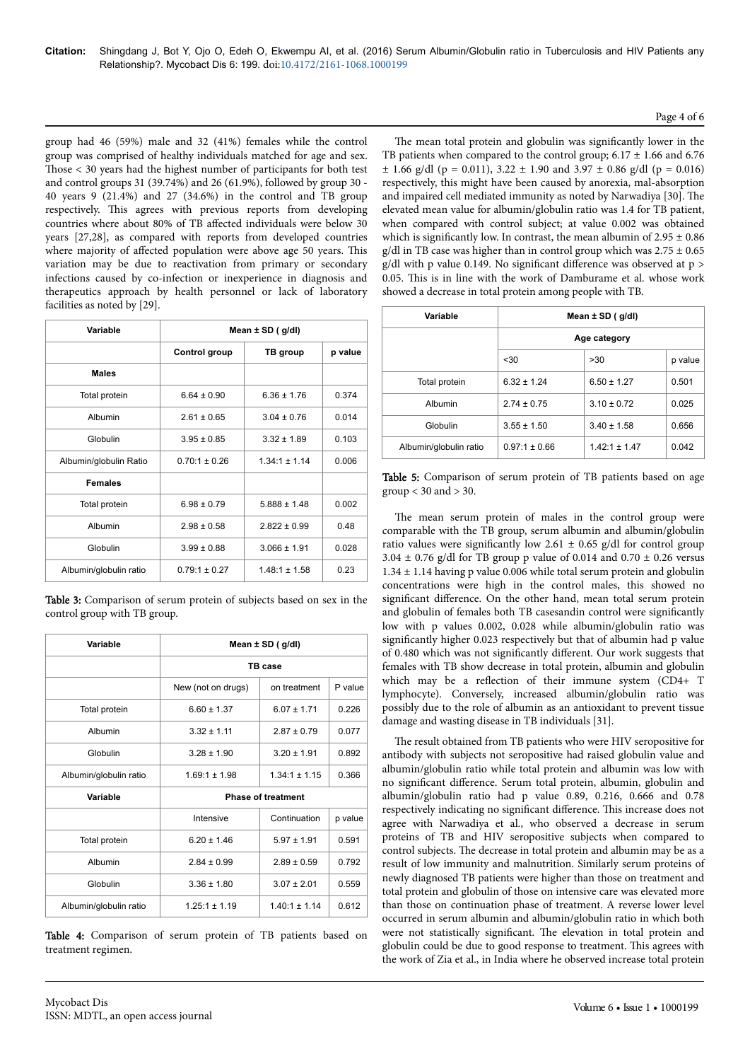group had 46 (59%) male and 32 (41%) females while the control group was comprised of healthy individuals matched for age and sex. Those < 30 years had the highest number of participants for both test and control groups 31 (39.74%) and 26 (61.9%), followed by group 30 - 40 years 9 (21.4%) and 27 (34.6%) in the control and TB group respectively. Нis agrees with previous reports from developing countries where about 80% of TB affected individuals were below 30 years [27,28], as compared with reports from developed countries where majority of affected population were above age 50 years. This variation may be due to reactivation from primary or secondary infections caused by co-infection or inexperience in diagnosis and therapeutics approach by health personnel or lack of laboratory facilities as noted by [29].

| Variable               | Mean $\pm$ SD ( $g/dl$ ) |                   |         |
|------------------------|--------------------------|-------------------|---------|
|                        | Control group            | TB group          | p value |
| <b>Males</b>           |                          |                   |         |
| Total protein          | $6.64 \pm 0.90$          | $6.36 \pm 1.76$   | 0.374   |
| Albumin                | $2.61 \pm 0.65$          | $3.04 \pm 0.76$   | 0.014   |
| Globulin               | $3.95 \pm 0.85$          | $3.32 \pm 1.89$   | 0.103   |
| Albumin/globulin Ratio | $0.70:1 \pm 0.26$        | $1.34:1 \pm 1.14$ | 0.006   |
| <b>Females</b>         |                          |                   |         |
| Total protein          | $6.98 \pm 0.79$          | 5888 + 148        | 0.002   |
| Albumin                | $2.98 \pm 0.58$          | $2.822 \pm 0.99$  | 0.48    |
| Globulin               | $3.99 \pm 0.88$          | $3.066 \pm 1.91$  | 0.028   |
| Albumin/globulin ratio | $0.79:1 \pm 0.27$        | $1.48:1 \pm 1.58$ | 0.23    |

Table 3: Comparison of serum protein of subjects based on sex in the control group with TB group.

| Variable               | Mean $\pm$ SD ( $g/dl$ )  |                   |         |
|------------------------|---------------------------|-------------------|---------|
|                        | TB case                   |                   |         |
|                        | New (not on drugs)        | on treatment      | P value |
| Total protein          | $6.60 \pm 1.37$           | $6.07 \pm 1.71$   | 0.226   |
| Albumin                | $3.32 \pm 1.11$           | $2.87 \pm 0.79$   | 0.077   |
| Globulin               | $3.28 \pm 1.90$           | $3.20 \pm 1.91$   | 0.892   |
| Albumin/globulin ratio | $1.69:1 \pm 1.98$         | $1.34:1 \pm 1.15$ | 0.366   |
| Variable               | <b>Phase of treatment</b> |                   |         |
|                        | Intensive                 | Continuation      | p value |
| Total protein          | $6.20 \pm 1.46$           | $5.97 \pm 1.91$   | 0.591   |
| Albumin                | $2.84 \pm 0.99$           | $2.89 \pm 0.59$   | 0.792   |
| Globulin               | $3.36 \pm 1.80$           | $3.07 \pm 2.01$   | 0.559   |
| Albumin/globulin ratio | $1.25:1 \pm 1.19$         | $140.1 + 114$     | 0.612   |

Table 4: Comparison of serum protein of TB patients based on treatment regimen.

The mean total protein and globulin was significantly lower in the TB patients when compared to the control group;  $6.17 \pm 1.66$  and  $6.76$  $\pm$  1.66 g/dl (p = 0.011), 3.22  $\pm$  1.90 and 3.97  $\pm$  0.86 g/dl (p = 0.016) respectively, this might have been caused by anorexia, mal-absorption and impaired cell mediated immunity as noted by Narwadiya [30]. Нe elevated mean value for albumin/globulin ratio was 1.4 for TB patient, when compared with control subject; at value 0.002 was obtained which is significantly low. In contrast, the mean albumin of  $2.95 \pm 0.86$ g/dl in TB case was higher than in control group which was  $2.75 \pm 0.65$ g/dl with p value 0.149. No significant difference was observed at  $p >$ 0.05. Нis is in line with the work of Damburame et al. whose work showed a decrease in total protein among people with TB.

| Variable               | Mean $\pm$ SD ( $q/dl$ ) |                   |         |  |
|------------------------|--------------------------|-------------------|---------|--|
|                        | Age category             |                   |         |  |
|                        | $30$                     | >30               | p value |  |
| Total protein          | $6.32 \pm 1.24$          | $6.50 \pm 1.27$   | 0.501   |  |
| Albumin                | $2.74 \pm 0.75$          | $3.10 \pm 0.72$   | 0.025   |  |
| Globulin               | $3.55 \pm 1.50$          | $3.40 \pm 1.58$   | 0.656   |  |
| Albumin/globulin ratio | $0.97:1 \pm 0.66$        | $1.42:1 \pm 1.47$ | 0.042   |  |

Table 5: Comparison of serum protein of TB patients based on age  $group < 30$  and  $> 30$ .

The mean serum protein of males in the control group were comparable with the TB group, serum albumin and albumin/globulin ratio values were significantly low 2.61  $\pm$  0.65 g/dl for control group 3.04  $\pm$  0.76 g/dl for TB group p value of 0.014 and 0.70  $\pm$  0.26 versus  $1.34 \pm 1.14$  having p value 0.006 while total serum protein and globulin concentrations were high in the control males, this showed no significant difference. On the other hand, mean total serum protein and globulin of females both TB casesandin control were significantly low with p values 0.002, 0.028 while albumin/globulin ratio was significantly higher 0.023 respectively but that of albumin had p value of 0.480 which was not significantly different. Our work suggests that females with TB show decrease in total protein, albumin and globulin which may be a reflection of their immune system (CD4+ T lymphocyte). Conversely, increased albumin/globulin ratio was possibly due to the role of albumin as an antioxidant to prevent tissue damage and wasting disease in TB individuals [31].

The result obtained from TB patients who were HIV seropositive for antibody with subjects not seropositive had raised globulin value and albumin/globulin ratio while total protein and albumin was low with no significant difference. Serum total protein, albumin, globulin and albumin/globulin ratio had p value 0.89, 0.216, 0.666 and 0.78 respectively indicating no significant difference. This increase does not agree with Narwadiya et al., who observed a decrease in serum proteins of TB and HIV seropositive subjects when compared to control subjects. Нe decrease in total protein and albumin may be as a result of low immunity and malnutrition. Similarly serum proteins of newly diagnosed TB patients were higher than those on treatment and total protein and globulin of those on intensive care was elevated more than those on continuation phase of treatment. A reverse lower level occurred in serum albumin and albumin/globulin ratio in which both were not statistically significant. The elevation in total protein and globulin could be due to good response to treatment. Нis agrees with the work of Zia et al., in India where he observed increase total protein

## Page 4 of 6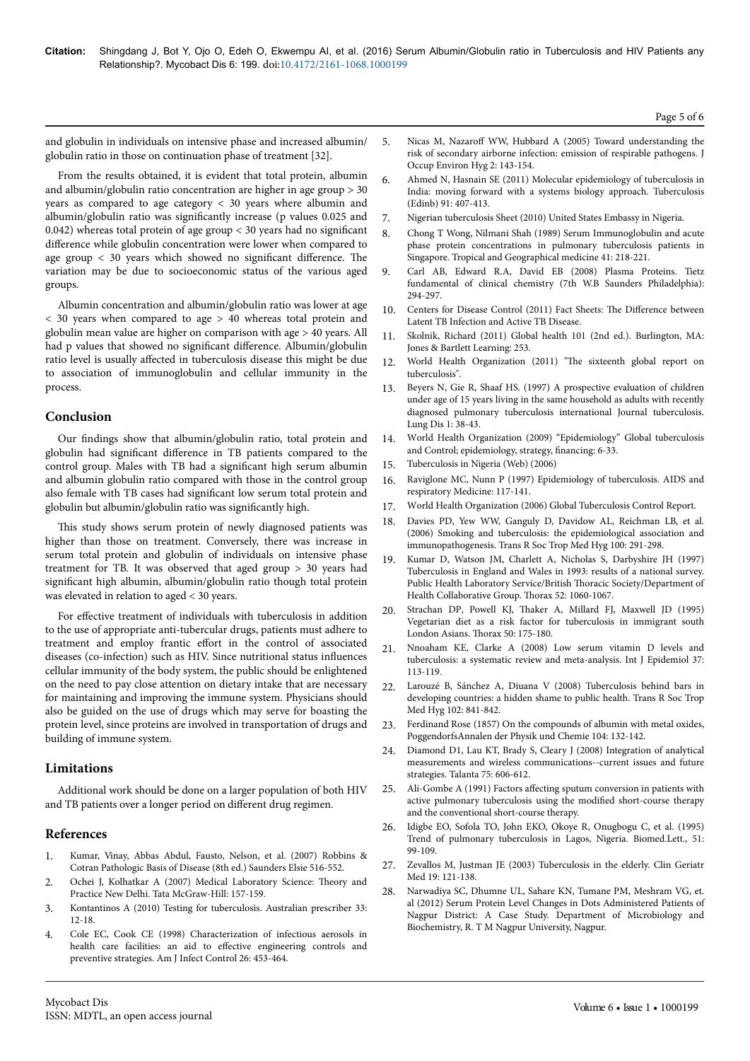and globulin in individuals on intensive phase and increased albumin/ globulin ratio in those on continuation phase of treatment [32].

From the results obtained, it is evident that total protein, albumin and albumin/globulin ratio concentration are higher in age group > 30 years as compared to age category < 30 years where albumin and albumin/globulin ratio was significantly increase (p values 0.025 and 0.042) whereas total protein of age group < 30 years had no significant difference while globulin concentration were lower when compared to age group  $\langle$  30 years which showed no significant difference. The variation may be due to socioeconomic status of the various aged groups.

Albumin concentration and albumin/globulin ratio was lower at age < 30 years when compared to age > 40 whereas total protein and globulin mean value are higher on comparison with age > 40 years. All had p values that showed no significant difference. Albumin/globulin ratio level is usually affected in tuberculosis disease this might be due to association of immunoglobulin and cellular immunity in the process.

# **Conclusion**

Our findings show that albumin/globulin ratio, total protein and globulin had significant difference in TB patients compared to the control group. Males with TB had a significant high serum albumin and albumin globulin ratio compared with those in the control group also female with TB cases had significant low serum total protein and globulin but albumin/globulin ratio was significantly high.

This study shows serum protein of newly diagnosed patients was higher than those on treatment. Conversely, there was increase in serum total protein and globulin of individuals on intensive phase treatment for TB. It was observed that aged group > 30 years had significant high albumin, albumin/globulin ratio though total protein was elevated in relation to aged < 30 years.

For effective treatment of individuals with tuberculosis in addition to the use of appropriate anti-tubercular drugs, patients must adhere to treatment and employ frantic effort in the control of associated diseases (co-infection) such as HIV. Since nutritional status influences cellular immunity of the body system, the public should be enlightened on the need to pay close attention on dietary intake that are necessary for maintaining and improving the immune system. Physicians should also be guided on the use of drugs which may serve for boasting the protein level, since proteins are involved in transportation of drugs and building of immune system.

# **Limitations**

Additional work should be done on a larger population of both HIV and TB patients over a longer period on different drug regimen.

## **References**

- 1. [Kumar, Vinay, Abbas Abdul, Fausto, Nelson, et al. \(2007\) Robbins &](http://www.us.elsevierhealth.com/robbins-pathology/robbins-cotran-pathologic-basis-of-disease-hardcover/9781416031215/) [Cotran Pathologic Basis of Disease \(8th ed.\) Saunders Elsie 516-552.](http://www.us.elsevierhealth.com/robbins-pathology/robbins-cotran-pathologic-basis-of-disease-hardcover/9781416031215/)
- 2. [Ochei J, Kolhatkar A \(2007\) Medical Laboratory Science:](http://www.karpagamuniversity.edu.in/wp-content/uploads/2013/02/MSc_CS_Syl_2014.pdf) Нeory and [Practice New Delhi. Tata McGraw-Hill: 157-159](http://www.karpagamuniversity.edu.in/wp-content/uploads/2013/02/MSc_CS_Syl_2014.pdf).
- 3. [Kontantinos A \(2010\) Testing for tuberculosis. Australian prescriber 33:](http://www.australianprescriber.com/magazine/33/1/12/18) [12-18.](http://www.australianprescriber.com/magazine/33/1/12/18)
- 4. [Cole EC, Cook CE \(1998\) Characterization of infectious aerosols in](http://www.ncbi.nlm.nih.gov/pubmed/9721404) [health care facilities: an aid to](http://www.ncbi.nlm.nih.gov/pubmed/9721404) effective engineering controls and [preventive strategies. Am J Infect Control 26: 453-464.](http://www.ncbi.nlm.nih.gov/pubmed/9721404)
- 5. Nicas M, Nazaroff [WW, Hubbard A \(2005\) Toward understanding the](http://www.ncbi.nlm.nih.gov/pubmed/15764538) [risk of secondary airborne infection: emission of respirable pathogens. J](http://www.ncbi.nlm.nih.gov/pubmed/15764538) [Occup Environ Hyg 2: 143-154.](http://www.ncbi.nlm.nih.gov/pubmed/15764538)
- 6. [Ahmed N, Hasnain SE \(2011\) Molecular epidemiology of tuberculosis in](http://www.ncbi.nlm.nih.gov/pubmed/21514230) [India: moving forward with a systems biology approach. Tuberculosis](http://www.ncbi.nlm.nih.gov/pubmed/21514230) [\(Edinb\) 91: 407-413.](http://www.ncbi.nlm.nih.gov/pubmed/21514230)
- 7. [Nigerian tuberculosis Sheet \(2010\) United States Embassy in Nigeria.](http://photos.state.gov/libraries/nigeria/487468/pdfs/JanuaryTuberculosisFactSheet.pdf)
- 8. [Chong T Wong, Nilmani Shah \(1989\) Serum Immunoglobulin and acute](http://www.ncbi.nlm.nih.gov/pubmed/2480678) [phase protein concentrations in pulmonary tuberculosis patients in](http://www.ncbi.nlm.nih.gov/pubmed/2480678) [Singapore. Tropical and Geographical medicine 41: 218-221.](http://www.ncbi.nlm.nih.gov/pubmed/2480678)
- 9. [Carl AB, Edward R.A, David EB \(2008\) Plasma Proteins. Tietz](https://books.google.co.in/books?hl=en&lr=&id=p7XwAwAAQBAJ&oi=fnd&pg=PP1&dq=Plasma+Proteins%3B+Tietz+fundamental+of+clinical+chemistry) [fundamental of clinical chemistry \(7th W.B Saunders Philadelphia\):](https://books.google.co.in/books?hl=en&lr=&id=p7XwAwAAQBAJ&oi=fnd&pg=PP1&dq=Plasma+Proteins%3B+Tietz+fundamental+of+clinical+chemistry) [294-297.](https://books.google.co.in/books?hl=en&lr=&id=p7XwAwAAQBAJ&oi=fnd&pg=PP1&dq=Plasma+Proteins%3B+Tietz+fundamental+of+clinical+chemistry)
- 10. [Centers for Disease Control \(2011\) Fact Sheets:](http://www.cdc.gov/tb/publications/factsheets/general/LTBIandActiveTB.htm) The Difference between [Latent TB Infection and Active TB Disease.](http://www.cdc.gov/tb/publications/factsheets/general/LTBIandActiveTB.htm)
- 11. [Skolnik, Richard \(2011\) Global health 101 \(2nd ed.\). Burlington, MA:](http://samples.jbpub.com/9780763797515/97515_FMxx_Skolnik.pdf) [Jones & Bartlett Learning: 253.](http://samples.jbpub.com/9780763797515/97515_FMxx_Skolnik.pdf)
- 12. [World Health Organization \(2011\)](http://www.sciepub.com/reference/33737) "The sixteenth global report on [tuberculosis".](http://www.sciepub.com/reference/33737)
- 13. [Beyers N, Gie R, Shaaf HS. \(1997\) A prospective evaluation of children](http://www.ingentaconnect.com/content/iuatld/ijtld/1997/00000001/00000001/art00008) [under age of 15 years living in the same household as adults with recently](http://www.ingentaconnect.com/content/iuatld/ijtld/1997/00000001/00000001/art00008) [diagnosed pulmonary tuberculosis international Journal tuberculosis.](http://www.ingentaconnect.com/content/iuatld/ijtld/1997/00000001/00000001/art00008) [Lung Dis 1: 38-43.](http://www.ingentaconnect.com/content/iuatld/ijtld/1997/00000001/00000001/art00008)
- 14. [World Health Organization \(2009\) "Epidemiology" Global tuberculosis](https://www.google.co.in/search?q=) [and Control; epidemiology, strategy,](https://www.google.co.in/search?q=) financing: 6-33.
- 15. [Tuberculosis in Nigeria \(Web\) \(2006\)](http://photos.state.gov/libraries/nigeria/487468/pdfs/JanuaryTuberculosisFactSheet.pdf)
- 16. [Raviglone MC, Nunn P \(1997\) Epidemiology of tuberculosis. AIDS and](http://link.springer.com/chapter/10.1007%2F978-1-4899-3446-8_8) [respiratory Medicine: 117-141.](http://link.springer.com/chapter/10.1007%2F978-1-4899-3446-8_8)
- 17. [World Health Organization \(2006\) Global Tuberculosis Control Report.](http://www.iosrjournals.org/iosr-jdms/papers/Vol2-issue6/E0261822.pdf)
- 18. [Davies PD, Yew WW, Ganguly D, Davidow AL, Reichman LB, et al.](http://www.ncbi.nlm.nih.gov/pubmed/16325875) [\(2006\) Smoking and tuberculosis: the epidemiological association and](http://www.ncbi.nlm.nih.gov/pubmed/16325875) [immunopathogenesis. Trans R Soc Trop Med Hyg 100: 291-298.](http://www.ncbi.nlm.nih.gov/pubmed/16325875)
- 19. [Kumar D, Watson JM, Charlett A, Nicholas S, Darbyshire JH \(1997\)](http://www.ncbi.nlm.nih.gov/pubmed/9516900) [Tuberculosis in England and Wales in 1993: results of a national survey.](http://www.ncbi.nlm.nih.gov/pubmed/9516900) [Public Health Laboratory Service/British](http://www.ncbi.nlm.nih.gov/pubmed/9516900) Нoracic Society/Department of [Health Collaborative Group.](http://www.ncbi.nlm.nih.gov/pubmed/9516900) Нorax 52: 1060-1067.
- 20. Strachan DP, Powell KJ, Нaker [A, Millard FJ, Maxwell JD \(1995\)](http://www.ncbi.nlm.nih.gov/pubmed/7701458) [Vegetarian diet as a risk factor for tuberculosis in immigrant south](http://www.ncbi.nlm.nih.gov/pubmed/7701458) [London Asians.](http://www.ncbi.nlm.nih.gov/pubmed/7701458) Нorax 50: 175-180.
- 21. [Nnoaham KE, Clarke A \(2008\) Low serum vitamin D levels and](http://www.ncbi.nlm.nih.gov/pubmed/18245055) [tuberculosis: a systematic review and meta-analysis. Int J Epidemiol 37:](http://www.ncbi.nlm.nih.gov/pubmed/18245055) [113-119.](http://www.ncbi.nlm.nih.gov/pubmed/18245055)
- 22. [Larouzé B, Sánchez A, Diuana V \(2008\) Tuberculosis behind bars in](http://www.ncbi.nlm.nih.gov/pubmed/18513772) [developing countries: a hidden shame to public health. Trans R Soc Trop](http://www.ncbi.nlm.nih.gov/pubmed/18513772) [Med Hyg 102: 841-842.](http://www.ncbi.nlm.nih.gov/pubmed/18513772)
- [Ferdinand Rose \(1857\) On the compounds of albumin with metal oxides,](https://archive.org/details/annalenderphysi18pogggoog) [PoggendorfsAnnalen der Physik und Chemie 104: 132-142.](https://archive.org/details/annalenderphysi18pogggoog)
- 24. [Diamond D1, Lau KT, Brady S, Cleary J \(2008\) Integration of analytical](http://www.ncbi.nlm.nih.gov/pubmed/18585121) [measurements and wireless communications--current issues and future](http://www.ncbi.nlm.nih.gov/pubmed/18585121) [strategies. Talanta 75: 606-612.](http://www.ncbi.nlm.nih.gov/pubmed/18585121)
- 25. Ali-Gombe A (1991) Factors affecting [sputum conversion in patients with](http://www.academicjournals.org/journal/JIDI/article-full-text-pdf/D4873055620) [active pulmonary tuberculosis using the](http://www.academicjournals.org/journal/JIDI/article-full-text-pdf/D4873055620) modified short-course therapy [and the conventional short-course therapy.](http://www.academicjournals.org/journal/JIDI/article-full-text-pdf/D4873055620)
- 26. [Idigbe EO, Sofola TO, John EKO, Okoye R, Onugbogu C, et al. \(1995\)](http://trstmh.oxfordjournals.org/content/96/6/614.short) [Trend of pulmonary tuberculosis in Lagos, Nigeria. Biomed.Lett., 51:](http://trstmh.oxfordjournals.org/content/96/6/614.short) [99-109.](http://trstmh.oxfordjournals.org/content/96/6/614.short)
- 27. [Zevallos M, Justman JE \(2003\) Tuberculosis in the elderly. Clin Geriatr](http://www.ncbi.nlm.nih.gov/pubmed/12735118) [Med 19: 121-138.](http://www.ncbi.nlm.nih.gov/pubmed/12735118)
- 28. [Narwadiya SC, Dhumne UL, Sahare KN, Tumane PM, Meshram VG, et.](http://www.ijsrp.org/research-paper-0714/ijsrp-p31113.pdf) [al \(2012\) Serum Protein Level Changes in Dots Administered Patients of](http://www.ijsrp.org/research-paper-0714/ijsrp-p31113.pdf) [Nagpur District: A Case Study. Department of Microbiology and](http://www.ijsrp.org/research-paper-0714/ijsrp-p31113.pdf) [Biochemistry, R. T M Nagpur University, Nagpur.](http://www.ijsrp.org/research-paper-0714/ijsrp-p31113.pdf)